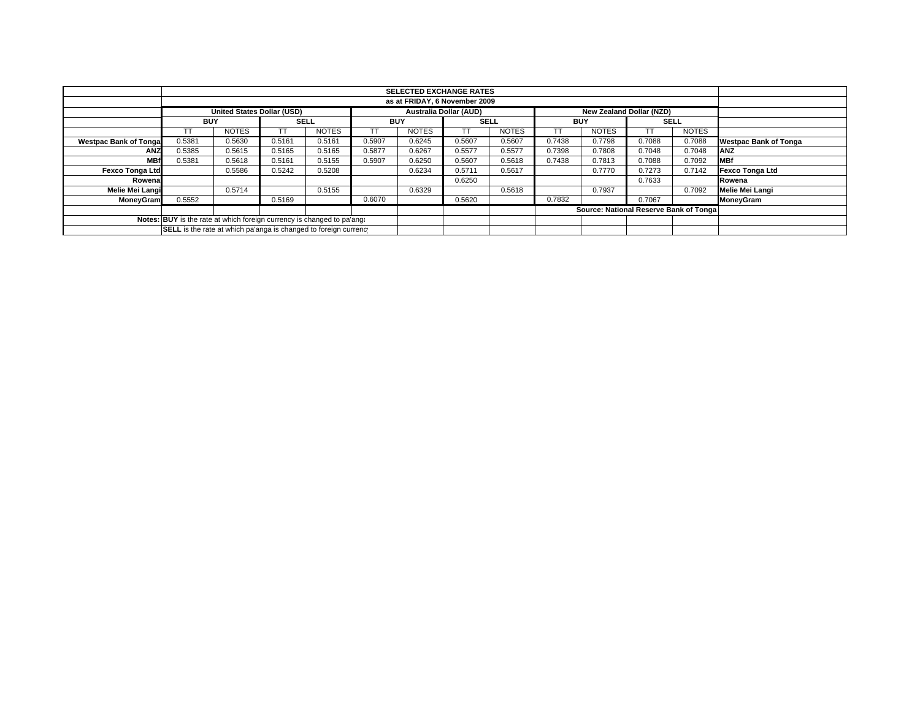|                              |                                                                                                |              |        |              |            |              |             |              |            |                                         | <b>SELECTED EXCHANGE RATES</b> |              |                              |  |  |  |  |  |  |  |  |  |
|------------------------------|------------------------------------------------------------------------------------------------|--------------|--------|--------------|------------|--------------|-------------|--------------|------------|-----------------------------------------|--------------------------------|--------------|------------------------------|--|--|--|--|--|--|--|--|--|
|                              |                                                                                                |              |        |              |            |              |             |              |            |                                         |                                |              |                              |  |  |  |  |  |  |  |  |  |
|                              | <b>United States Dollar (USD)</b><br><b>Australia Dollar (AUD)</b><br>New Zealand Dollar (NZD) |              |        |              |            |              |             |              |            |                                         |                                |              |                              |  |  |  |  |  |  |  |  |  |
|                              | <b>BUY</b>                                                                                     |              |        | <b>SELL</b>  | <b>BUY</b> |              | <b>SELL</b> |              | <b>BUY</b> |                                         | <b>SELL</b>                    |              |                              |  |  |  |  |  |  |  |  |  |
|                              |                                                                                                | <b>NOTES</b> |        | <b>NOTES</b> | TT         | <b>NOTES</b> | TT          | <b>NOTES</b> |            | <b>NOTES</b>                            |                                | <b>NOTES</b> |                              |  |  |  |  |  |  |  |  |  |
| <b>Westpac Bank of Tonga</b> | 0.5381                                                                                         | 0.5630       | 0.5161 | 0.5161       | 0.5907     | 0.6245       | 0.5607      | 0.5607       | 0.7438     | 0.7798                                  | 0.7088                         | 0.7088       | <b>Westpac Bank of Tonga</b> |  |  |  |  |  |  |  |  |  |
| <b>ANZ</b>                   | 0.5385                                                                                         | 0.5615       | 0.5165 | 0.5165       | 0.5877     | 0.6267       | 0.5577      | 0.5577       | 0.7398     | 0.7808                                  | 0.7048                         | 0.7048       | <b>ANZ</b>                   |  |  |  |  |  |  |  |  |  |
| <b>MBf</b>                   | 0.5381                                                                                         | 0.5618       | 0.5161 | 0.5155       | 0.5907     | 0.6250       | 0.5607      | 0.5618       | 0.7438     | 0.7813                                  | 0.7088                         | 0.7092       | <b>MBf</b>                   |  |  |  |  |  |  |  |  |  |
| <b>Fexco Tonga Ltd</b>       |                                                                                                | 0.5586       | 0.5242 | 0.5208       |            | 0.6234       | 0.5711      | 0.5617       |            | 0.7770                                  | 0.7273                         | 0.7142       | Fexco Tonga Ltd              |  |  |  |  |  |  |  |  |  |
| Rowena                       |                                                                                                |              |        |              |            |              | 0.6250      |              |            |                                         | 0.7633                         |              | Rowena                       |  |  |  |  |  |  |  |  |  |
| Melie Mei Langi              |                                                                                                | 0.5714       |        | 0.5155       |            | 0.6329       |             | 0.5618       |            | 0.7937                                  |                                | 0.7092       | <b>Melie Mei Langi</b>       |  |  |  |  |  |  |  |  |  |
| MoneyGram                    | 0.5552                                                                                         |              | 0.5169 |              | 0.6070     |              | 0.5620      |              | 0.7832     |                                         | 0.7067                         |              | MoneyGram                    |  |  |  |  |  |  |  |  |  |
|                              |                                                                                                |              |        |              |            |              |             |              |            | Source: National Reserve Bank of Tongal |                                |              |                              |  |  |  |  |  |  |  |  |  |
|                              | Notes: BUY is the rate at which foreign currency is changed to pa'ang.                         |              |        |              |            |              |             |              |            |                                         |                                |              |                              |  |  |  |  |  |  |  |  |  |
|                              | SELL is the rate at which pa'anga is changed to foreign currency                               |              |        |              |            |              |             |              |            |                                         |                                |              |                              |  |  |  |  |  |  |  |  |  |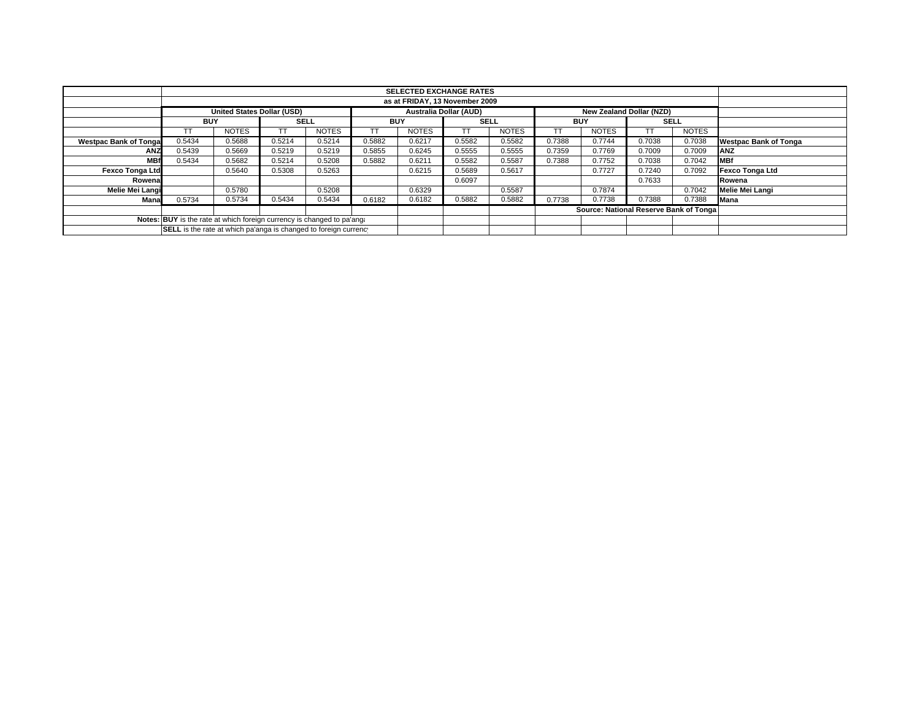|                                                                        |                                                                                                | <b>SELECTED EXCHANGE RATES</b> |        |              |        |              |        |              |        |                                         |        |              |                              |
|------------------------------------------------------------------------|------------------------------------------------------------------------------------------------|--------------------------------|--------|--------------|--------|--------------|--------|--------------|--------|-----------------------------------------|--------|--------------|------------------------------|
|                                                                        | as at FRIDAY, 13 November 2009                                                                 |                                |        |              |        |              |        |              |        |                                         |        |              |                              |
|                                                                        | <b>United States Dollar (USD)</b><br><b>Australia Dollar (AUD)</b><br>New Zealand Dollar (NZD) |                                |        |              |        |              |        |              |        |                                         |        |              |                              |
|                                                                        | <b>BUY</b>                                                                                     |                                |        | <b>SELL</b>  |        | <b>BUY</b>   |        | <b>SELL</b>  |        | <b>BUY</b>                              |        | <b>SELL</b>  |                              |
|                                                                        |                                                                                                | <b>NOTES</b>                   | TT     | <b>NOTES</b> | TT     | <b>NOTES</b> | TT.    | <b>NOTES</b> |        | <b>NOTES</b>                            |        | <b>NOTES</b> |                              |
| <b>Westpac Bank of Tonga</b>                                           | 0.5434                                                                                         | 0.5688                         | 0.5214 | 0.5214       | 0.5882 | 0.6217       | 0.5582 | 0.5582       | 0.7388 | 0.7744                                  | 0.7038 | 0.7038       | <b>Westpac Bank of Tonga</b> |
| <b>ANZ</b>                                                             | 0.5439                                                                                         | 0.5669                         | 0.5219 | 0.5219       | 0.5855 | 0.6245       | 0.5555 | 0.5555       | 0.7359 | 0.7769                                  | 0.7009 | 0.7009       | <b>ANZ</b>                   |
| <b>MBf</b>                                                             | 0.5434                                                                                         | 0.5682                         | 0.5214 | 0.5208       | 0.5882 | 0.6211       | 0.5582 | 0.5587       | 0.7388 | 0.7752                                  | 0.7038 | 0.7042       | <b>MBf</b>                   |
| <b>Fexco Tonga Ltd</b>                                                 |                                                                                                | 0.5640                         | 0.5308 | 0.5263       |        | 0.6215       | 0.5689 | 0.5617       |        | 0.7727                                  | 0.7240 | 0.7092       | Fexco Tonga Ltd              |
| Rowena                                                                 |                                                                                                |                                |        |              |        |              | 0.6097 |              |        |                                         | 0.7633 |              | Rowena                       |
| Melie Mei Langi                                                        |                                                                                                | 0.5780                         |        | 0.5208       |        | 0.6329       |        | 0.5587       |        | 0.7874                                  |        | 0.7042       | Melie Mei Langi              |
| Mana                                                                   | 0.5734                                                                                         | 0.5734                         | 0.5434 | 0.5434       | 0.6182 | 0.6182       | 0.5882 | 0.5882       | 0.7738 | 0.7738                                  | 0.7388 | 0.7388       | <b>Mana</b>                  |
|                                                                        |                                                                                                |                                |        |              |        |              |        |              |        | Source: National Reserve Bank of Tongal |        |              |                              |
| Notes: BUY is the rate at which foreign currency is changed to pa'ang: |                                                                                                |                                |        |              |        |              |        |              |        |                                         |        |              |                              |
|                                                                        | SELL is the rate at which pa'anga is changed to foreign currency                               |                                |        |              |        |              |        |              |        |                                         |        |              |                              |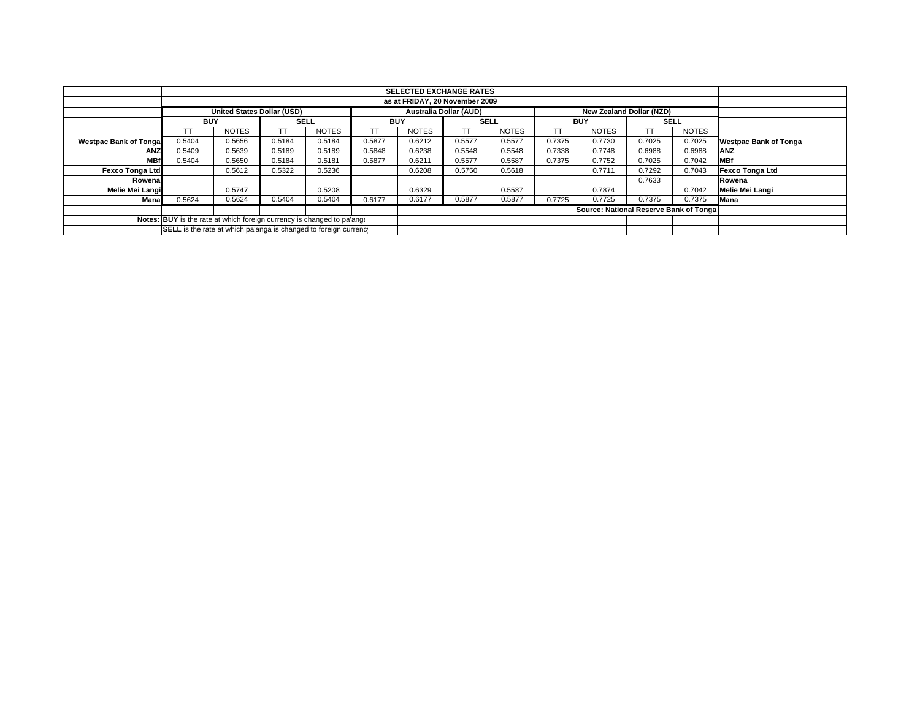|                              |                                                                        |                                                                                                | <b>SELECTED EXCHANGE RATES</b> |              |            |              |             |              |            |                                         |             |              |                              |  |
|------------------------------|------------------------------------------------------------------------|------------------------------------------------------------------------------------------------|--------------------------------|--------------|------------|--------------|-------------|--------------|------------|-----------------------------------------|-------------|--------------|------------------------------|--|
|                              | as at FRIDAY, 20 November 2009                                         |                                                                                                |                                |              |            |              |             |              |            |                                         |             |              |                              |  |
|                              |                                                                        | <b>United States Dollar (USD)</b><br><b>Australia Dollar (AUD)</b><br>New Zealand Dollar (NZD) |                                |              |            |              |             |              |            |                                         |             |              |                              |  |
|                              | <b>BUY</b>                                                             |                                                                                                | <b>SELL</b>                    |              | <b>BUY</b> |              | <b>SELL</b> |              | <b>BUY</b> |                                         | <b>SELL</b> |              |                              |  |
|                              |                                                                        | <b>NOTES</b>                                                                                   |                                | <b>NOTES</b> | TT         | <b>NOTES</b> | TT          | <b>NOTES</b> |            | <b>NOTES</b>                            |             | <b>NOTES</b> |                              |  |
| <b>Westpac Bank of Tonga</b> | 0.5404                                                                 | 0.5656                                                                                         | 0.5184                         | 0.5184       | 0.5877     | 0.6212       | 0.5577      | 0.5577       | 0.7375     | 0.7730                                  | 0.7025      | 0.7025       | <b>Westpac Bank of Tonga</b> |  |
| <b>ANZ</b>                   | 0.5409                                                                 | 0.5639                                                                                         | 0.5189                         | 0.5189       | 0.5848     | 0.6238       | 0.5548      | 0.5548       | 0.7338     | 0.7748                                  | 0.6988      | 0.6988       | <b>ANZ</b>                   |  |
| <b>MBf</b>                   | 0.5404                                                                 | 0.5650                                                                                         | 0.5184                         | 0.5181       | 0.5877     | 0.6211       | 0.5577      | 0.5587       | 0.7375     | 0.7752                                  | 0.7025      | 0.7042       | <b>MBf</b>                   |  |
| <b>Fexco Tonga Ltd</b>       |                                                                        | 0.5612                                                                                         | 0.5322                         | 0.5236       |            | 0.6208       | 0.5750      | 0.5618       |            | 0.7711                                  | 0.7292      | 0.7043       | Fexco Tonga Ltd              |  |
| Rowena                       |                                                                        |                                                                                                |                                |              |            |              |             |              |            |                                         | 0.7633      |              | Rowena                       |  |
| Melie Mei Langi              |                                                                        | 0.5747                                                                                         |                                | 0.5208       |            | 0.6329       |             | 0.5587       |            | 0.7874                                  |             | 0.7042       | <b>Melie Mei Langi</b>       |  |
| Mana                         | 0.5624                                                                 | 0.5624                                                                                         | 0.5404                         | 0.5404       | 0.6177     | 0.6177       | 0.5877      | 0.5877       | 0.7725     | 0.7725                                  | 0.7375      | 0.7375       | <b>Mana</b>                  |  |
|                              |                                                                        |                                                                                                |                                |              |            |              |             |              |            | Source: National Reserve Bank of Tongal |             |              |                              |  |
|                              | Notes: BUY is the rate at which foreign currency is changed to pa'ang. |                                                                                                |                                |              |            |              |             |              |            |                                         |             |              |                              |  |
|                              | SELL is the rate at which pa'anga is changed to foreign currency       |                                                                                                |                                |              |            |              |             |              |            |                                         |             |              |                              |  |